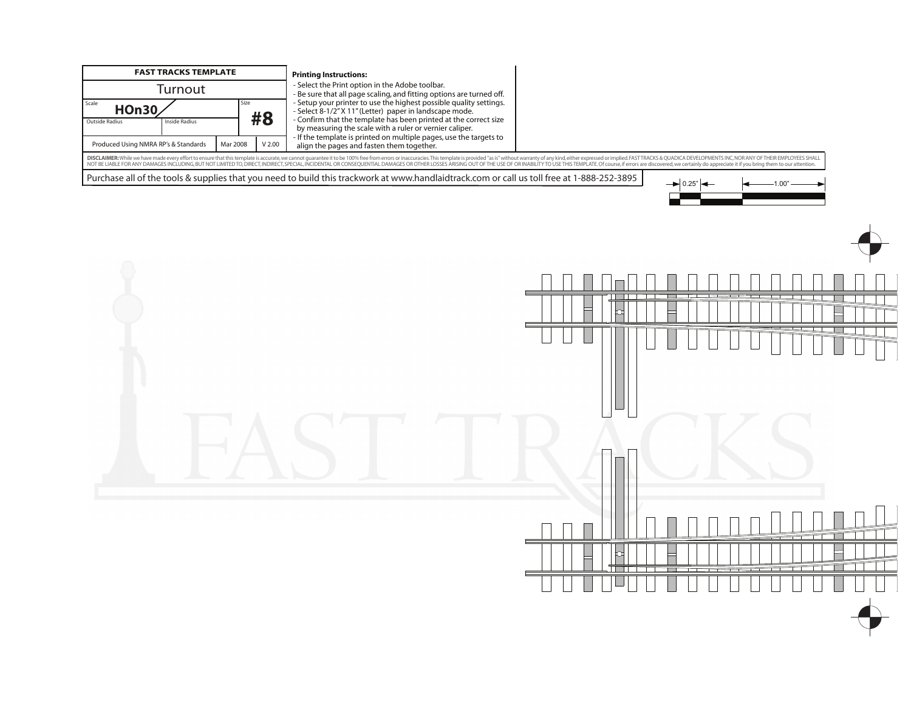